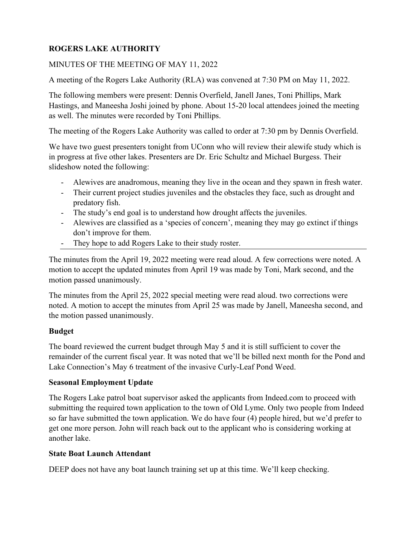# **ROGERS LAKE AUTHORITY**

### MINUTES OF THE MEETING OF MAY 11, 2022

A meeting of the Rogers Lake Authority (RLA) was convened at 7:30 PM on May 11, 2022.

The following members were present: Dennis Overfield, Janell Janes, Toni Phillips, Mark Hastings, and Maneesha Joshi joined by phone. About 15-20 local attendees joined the meeting as well. The minutes were recorded by Toni Phillips.

The meeting of the Rogers Lake Authority was called to order at 7:30 pm by Dennis Overfield.

We have two guest presenters tonight from UConn who will review their alewife study which is in progress at five other lakes. Presenters are Dr. Eric Schultz and Michael Burgess. Their slideshow noted the following:

- Alewives are anadromous, meaning they live in the ocean and they spawn in fresh water.
- Their current project studies juveniles and the obstacles they face, such as drought and predatory fish.
- The study's end goal is to understand how drought affects the juveniles.
- Alewives are classified as a 'species of concern', meaning they may go extinct if things don't improve for them.
- They hope to add Rogers Lake to their study roster.

The minutes from the April 19, 2022 meeting were read aloud. A few corrections were noted. A motion to accept the updated minutes from April 19 was made by Toni, Mark second, and the motion passed unanimously.

The minutes from the April 25, 2022 special meeting were read aloud. two corrections were noted. A motion to accept the minutes from April 25 was made by Janell, Maneesha second, and the motion passed unanimously.

## **Budget**

The board reviewed the current budget through May 5 and it is still sufficient to cover the remainder of the current fiscal year. It was noted that we'll be billed next month for the Pond and Lake Connection's May 6 treatment of the invasive Curly-Leaf Pond Weed.

#### **Seasonal Employment Update**

The Rogers Lake patrol boat supervisor asked the applicants from Indeed.com to proceed with submitting the required town application to the town of Old Lyme. Only two people from Indeed so far have submitted the town application. We do have four (4) people hired, but we'd prefer to get one more person. John will reach back out to the applicant who is considering working at another lake.

#### **State Boat Launch Attendant**

DEEP does not have any boat launch training set up at this time. We'll keep checking.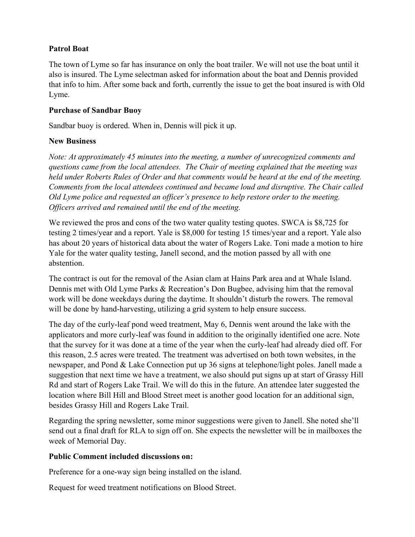# **Patrol Boat**

The town of Lyme so far has insurance on only the boat trailer. We will not use the boat until it also is insured. The Lyme selectman asked for information about the boat and Dennis provided that info to him. After some back and forth, currently the issue to get the boat insured is with Old Lyme.

### **Purchase of Sandbar Buoy**

Sandbar buoy is ordered. When in, Dennis will pick it up.

### **New Business**

*Note: At approximately 45 minutes into the meeting, a number of unrecognized comments and questions came from the local attendees. The Chair of meeting explained that the meeting was held under Roberts Rules of Order and that comments would be heard at the end of the meeting. Comments from the local attendees continued and became loud and disruptive. The Chair called Old Lyme police and requested an officer's presence to help restore order to the meeting. Officers arrived and remained until the end of the meeting.* 

We reviewed the pros and cons of the two water quality testing quotes. SWCA is \$8,725 for testing 2 times/year and a report. Yale is \$8,000 for testing 15 times/year and a report. Yale also has about 20 years of historical data about the water of Rogers Lake. Toni made a motion to hire Yale for the water quality testing, Janell second, and the motion passed by all with one abstention.

The contract is out for the removal of the Asian clam at Hains Park area and at Whale Island. Dennis met with Old Lyme Parks & Recreation's Don Bugbee, advising him that the removal work will be done weekdays during the daytime. It shouldn't disturb the rowers. The removal will be done by hand-harvesting, utilizing a grid system to help ensure success.

The day of the curly-leaf pond weed treatment, May 6, Dennis went around the lake with the applicators and more curly-leaf was found in addition to the originally identified one acre. Note that the survey for it was done at a time of the year when the curly-leaf had already died off. For this reason, 2.5 acres were treated. The treatment was advertised on both town websites, in the newspaper, and Pond & Lake Connection put up 36 signs at telephone/light poles. Janell made a suggestion that next time we have a treatment, we also should put signs up at start of Grassy Hill Rd and start of Rogers Lake Trail. We will do this in the future. An attendee later suggested the location where Bill Hill and Blood Street meet is another good location for an additional sign, besides Grassy Hill and Rogers Lake Trail.

Regarding the spring newsletter, some minor suggestions were given to Janell. She noted she'll send out a final draft for RLA to sign off on. She expects the newsletter will be in mailboxes the week of Memorial Day.

#### **Public Comment included discussions on:**

Preference for a one-way sign being installed on the island.

Request for weed treatment notifications on Blood Street.